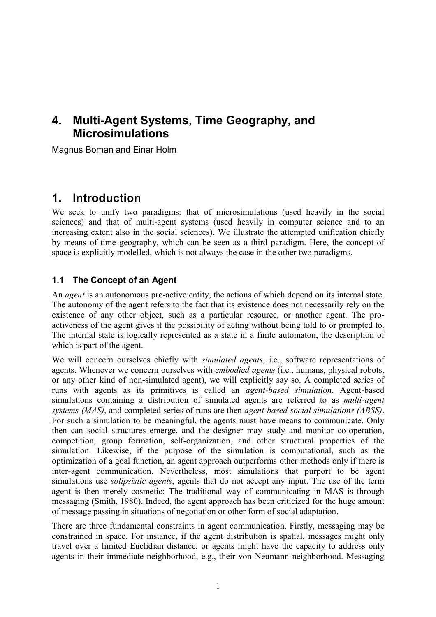# **4. Multi-Agent Systems, Time Geography, and Microsimulations**

Magnus Boman and Einar Holm

# **1. Introduction**

We seek to unify two paradigms: that of microsimulations (used heavily in the social sciences) and that of multi-agent systems (used heavily in computer science and to an increasing extent also in the social sciences). We illustrate the attempted unification chiefly by means of time geography, which can be seen as a third paradigm. Here, the concept of space is explicitly modelled, which is not always the case in the other two paradigms.

### **1.1 The Concept of an Agent**

An *agent* is an autonomous pro-active entity, the actions of which depend on its internal state. The autonomy of the agent refers to the fact that its existence does not necessarily rely on the existence of any other object, such as a particular resource, or another agent. The proactiveness of the agent gives it the possibility of acting without being told to or prompted to. The internal state is logically represented as a state in a finite automaton, the description of which is part of the agent.

We will concern ourselves chiefly with *simulated agents*, i.e., software representations of agents. Whenever we concern ourselves with *embodied agents* (i.e., humans, physical robots, or any other kind of non-simulated agent), we will explicitly say so. A completed series of runs with agents as its primitives is called an *agent-based simulation*. Agent-based simulations containing a distribution of simulated agents are referred to as *multi-agent systems (MAS)*, and completed series of runs are then *agent-based social simulations (ABSS)*. For such a simulation to be meaningful, the agents must have means to communicate. Only then can social structures emerge, and the designer may study and monitor co-operation, competition, group formation, self-organization, and other structural properties of the simulation. Likewise, if the purpose of the simulation is computational, such as the optimization of a goal function, an agent approach outperforms other methods only if there is inter-agent communication. Nevertheless, most simulations that purport to be agent simulations use *solipsistic agents*, agents that do not accept any input. The use of the term agent is then merely cosmetic: The traditional way of communicating in MAS is through messaging (Smith, 1980). Indeed, the agent approach has been criticized for the huge amount of message passing in situations of negotiation or other form of social adaptation.

There are three fundamental constraints in agent communication. Firstly, messaging may be constrained in space. For instance, if the agent distribution is spatial, messages might only travel over a limited Euclidian distance, or agents might have the capacity to address only agents in their immediate neighborhood, e.g., their von Neumann neighborhood. Messaging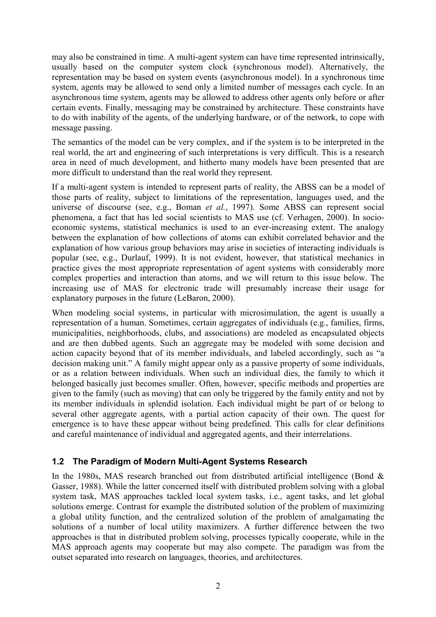may also be constrained in time. A multi-agent system can have time represented intrinsically, usually based on the computer system clock (synchronous model). Alternatively, the representation may be based on system events (asynchronous model). In a synchronous time system, agents may be allowed to send only a limited number of messages each cycle. In an asynchronous time system, agents may be allowed to address other agents only before or after certain events. Finally, messaging may be constrained by architecture. These constraints have to do with inability of the agents, of the underlying hardware, or of the network, to cope with message passing.

The semantics of the model can be very complex, and if the system is to be interpreted in the real world, the art and engineering of such interpretations is very difficult. This is a research area in need of much development, and hitherto many models have been presented that are more difficult to understand than the real world they represent.

If a multi-agent system is intended to represent parts of reality, the ABSS can be a model of those parts of reality, subject to limitations of the representation, languages used, and the universe of discourse (see, e.g., Boman *et al.*, 1997). Some ABSS can represent social phenomena, a fact that has led social scientists to MAS use (cf. Verhagen, 2000). In socioeconomic systems, statistical mechanics is used to an ever-increasing extent. The analogy between the explanation of how collections of atoms can exhibit correlated behavior and the explanation of how various group behaviors may arise in societies of interacting individuals is popular (see, e.g., Durlauf, 1999). It is not evident, however, that statistical mechanics in practice gives the most appropriate representation of agent systems with considerably more complex properties and interaction than atoms, and we will return to this issue below. The increasing use of MAS for electronic trade will presumably increase their usage for explanatory purposes in the future (LeBaron, 2000).

When modeling social systems, in particular with microsimulation, the agent is usually a representation of a human. Sometimes, certain aggregates of individuals (e.g., families, firms, municipalities, neighborhoods, clubs, and associations) are modeled as encapsulated objects and are then dubbed agents. Such an aggregate may be modeled with some decision and action capacity beyond that of its member individuals, and labeled accordingly, such as "a decision making unit." A family might appear only as a passive property of some individuals, or as a relation between individuals. When such an individual dies, the family to which it belonged basically just becomes smaller. Often, however, specific methods and properties are given to the family (such as moving) that can only be triggered by the family entity and not by its member individuals in splendid isolation. Each individual might be part of or belong to several other aggregate agents, with a partial action capacity of their own. The quest for emergence is to have these appear without being predefined. This calls for clear definitions and careful maintenance of individual and aggregated agents, and their interrelations.

#### **1.2 The Paradigm of Modern Multi-Agent Systems Research**

In the 1980s, MAS research branched out from distributed artificial intelligence (Bond  $\&$ Gasser, 1988). While the latter concerned itself with distributed problem solving with a global system task, MAS approaches tackled local system tasks, i.e., agent tasks, and let global solutions emerge. Contrast for example the distributed solution of the problem of maximizing a global utility function, and the centralized solution of the problem of amalgamating the solutions of a number of local utility maximizers. A further difference between the two approaches is that in distributed problem solving, processes typically cooperate, while in the MAS approach agents may cooperate but may also compete. The paradigm was from the outset separated into research on languages, theories, and architectures.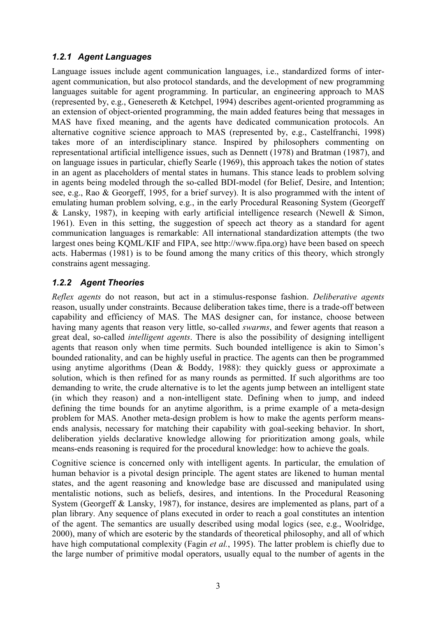#### *1.2.1 Agent Languages*

Language issues include agent communication languages, i.e., standardized forms of interagent communication, but also protocol standards, and the development of new programming languages suitable for agent programming. In particular, an engineering approach to MAS (represented by, e.g., Genesereth & Ketchpel, 1994) describes agent-oriented programming as an extension of object-oriented programming, the main added features being that messages in MAS have fixed meaning, and the agents have dedicated communication protocols. An alternative cognitive science approach to MAS (represented by, e.g., Castelfranchi, 1998) takes more of an interdisciplinary stance. Inspired by philosophers commenting on representational artificial intelligence issues, such as Dennett (1978) and Bratman (1987), and on language issues in particular, chiefly Searle (1969), this approach takes the notion of states in an agent as placeholders of mental states in humans. This stance leads to problem solving in agents being modeled through the so-called BDI-model (for Belief, Desire, and Intention; see, e.g., Rao & Georgeff, 1995, for a brief survey). It is also programmed with the intent of emulating human problem solving, e.g., in the early Procedural Reasoning System (Georgeff & Lansky, 1987), in keeping with early artificial intelligence research (Newell & Simon, 1961). Even in this setting, the suggestion of speech act theory as a standard for agent communication languages is remarkable: All international standardization attempts (the two largest ones being KQML/KIF and FIPA, see http://www.fipa.org) have been based on speech acts. Habermas (1981) is to be found among the many critics of this theory, which strongly constrains agent messaging.

#### *1.2.2 Agent Theories*

*Reflex agents* do not reason, but act in a stimulus-response fashion. *Deliberative agents* reason, usually under constraints. Because deliberation takes time, there is a trade-off between capability and efficiency of MAS. The MAS designer can, for instance, choose between having many agents that reason very little, so-called *swarms*, and fewer agents that reason a great deal, so-called *intelligent agents*. There is also the possibility of designing intelligent agents that reason only when time permits. Such bounded intelligence is akin to Simon's bounded rationality, and can be highly useful in practice. The agents can then be programmed using anytime algorithms (Dean  $\&$  Boddy, 1988): they quickly guess or approximate a solution, which is then refined for as many rounds as permitted. If such algorithms are too demanding to write, the crude alternative is to let the agents jump between an intelligent state (in which they reason) and a non-intelligent state. Defining when to jump, and indeed defining the time bounds for an anytime algorithm, is a prime example of a meta-design problem for MAS. Another meta-design problem is how to make the agents perform meansends analysis, necessary for matching their capability with goal-seeking behavior. In short, deliberation yields declarative knowledge allowing for prioritization among goals, while means-ends reasoning is required for the procedural knowledge: how to achieve the goals.

Cognitive science is concerned only with intelligent agents. In particular, the emulation of human behavior is a pivotal design principle. The agent states are likened to human mental states, and the agent reasoning and knowledge base are discussed and manipulated using mentalistic notions, such as beliefs, desires, and intentions. In the Procedural Reasoning System (Georgeff & Lansky, 1987), for instance, desires are implemented as plans, part of a plan library. Any sequence of plans executed in order to reach a goal constitutes an intention of the agent. The semantics are usually described using modal logics (see, e.g., Woolridge, 2000), many of which are esoteric by the standards of theoretical philosophy, and all of which have high computational complexity (Fagin *et al.*, 1995). The latter problem is chiefly due to the large number of primitive modal operators, usually equal to the number of agents in the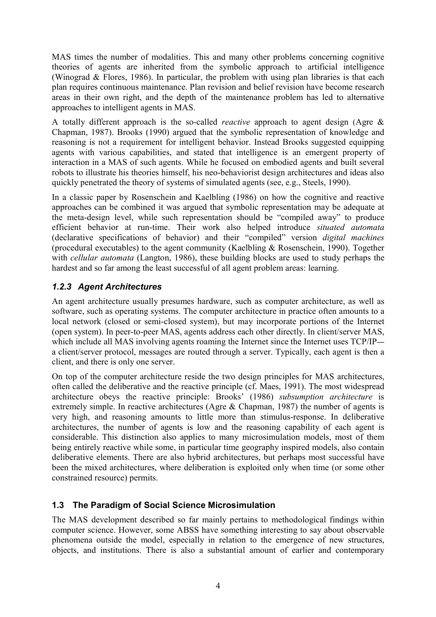MAS times the number of modalities. This and many other problems concerning cognitive theories of agents are inherited from the symbolic approach to artificial intelligence (Winograd & Flores, 1986). In particular, the problem with using plan libraries is that each plan requires continuous maintenance. Plan revision and belief revision have become research areas in their own right, and the depth of the maintenance problem has led to alternative approaches to intelligent agents in MAS.

A totally different approach is the so-called *reactive* approach to agent design (Agre & Chapman, 1987). Brooks (1990) argued that the symbolic representation of knowledge and reasoning is not a requirement for intelligent behavior. Instead Brooks suggested equipping agents with various capabilities, and stated that intelligence is an emergent property of interaction in a MAS of such agents. While he focused on embodied agents and built several robots to illustrate his theories himself, his neo-behaviorist design architectures and ideas also quickly penetrated the theory of systems of simulated agents (see, e.g., Steels, 1990).

In a classic paper by Rosenschein and Kaelbling (1986) on how the cognitive and reactive approaches can be combined it was argued that symbolic representation may be adequate at the meta-design level, while such representation should be "compiled away" to produce efficient behavior at run-time. Their work also helped introduce *situated automata* (declarative specifications of behavior) and their "compiled" version *digital machines* (procedural executables) to the agent community (Kaelbling & Rosenschein, 1990). Together with *cellular automata* (Langton, 1986), these building blocks are used to study perhaps the hardest and so far among the least successful of all agent problem areas: learning.

#### *1.2.3 Agent Architectures*

An agent architecture usually presumes hardware, such as computer architecture, as well as software, such as operating systems. The computer architecture in practice often amounts to a local network (closed or semi-closed system), but may incorporate portions of the Internet (open system). In peer-to-peer MAS, agents address each other directly. In client/server MAS, which include all MAS involving agents roaming the Internet since the Internet uses  $TCP/IP$  a client/server protocol, messages are routed through a server. Typically, each agent is then a client, and there is only one server.

On top of the computer architecture reside the two design principles for MAS architectures, often called the deliberative and the reactive principle (cf. Maes, 1991). The most widespread architecture obeys the reactive principle: Brooks' (1986) *subsumption architecture* is extremely simple. In reactive architectures (Agre & Chapman, 1987) the number of agents is very high, and reasoning amounts to little more than stimulus-response. In deliberative architectures, the number of agents is low and the reasoning capability of each agent is considerable. This distinction also applies to many microsimulation models, most of them being entirely reactive while some, in particular time geography inspired models, also contain deliberative elements. There are also hybrid architectures, but perhaps most successful have been the mixed architectures, where deliberation is exploited only when time (or some other constrained resource) permits.

#### **1.3 The Paradigm of Social Science Microsimulation**

The MAS development described so far mainly pertains to methodological findings within computer science. However, some ABSS have something interesting to say about observable phenomena outside the model, especially in relation to the emergence of new structures, objects, and institutions. There is also a substantial amount of earlier and contemporary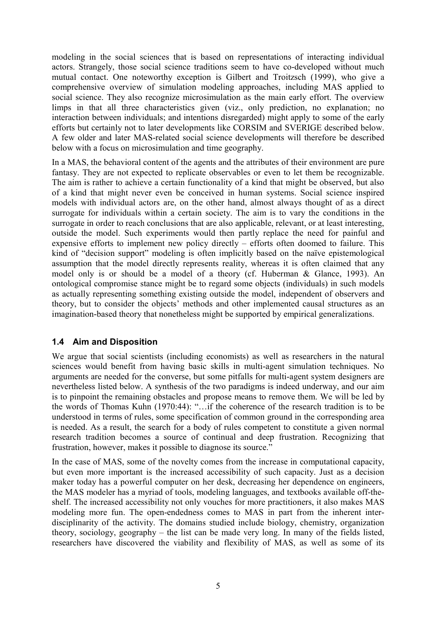modeling in the social sciences that is based on representations of interacting individual actors. Strangely, those social science traditions seem to have co-developed without much mutual contact. One noteworthy exception is Gilbert and Troitzsch (1999), who give a comprehensive overview of simulation modeling approaches, including MAS applied to social science. They also recognize microsimulation as the main early effort. The overview limps in that all three characteristics given (viz., only prediction, no explanation; no interaction between individuals; and intentions disregarded) might apply to some of the early efforts but certainly not to later developments like CORSIM and SVERIGE described below. A few older and later MAS-related social science developments will therefore be described below with a focus on microsimulation and time geography.

In a MAS, the behavioral content of the agents and the attributes of their environment are pure fantasy. They are not expected to replicate observables or even to let them be recognizable. The aim is rather to achieve a certain functionality of a kind that might be observed, but also of a kind that might never even be conceived in human systems. Social science inspired models with individual actors are, on the other hand, almost always thought of as a direct surrogate for individuals within a certain society. The aim is to vary the conditions in the surrogate in order to reach conclusions that are also applicable, relevant, or at least interesting, outside the model. Such experiments would then partly replace the need for painful and expensive efforts to implement new policy directly – efforts often doomed to failure. This kind of "decision support" modeling is often implicitly based on the naïve epistemological assumption that the model directly represents reality, whereas it is often claimed that any model only is or should be a model of a theory (cf. Huberman & Glance, 1993). An ontological compromise stance might be to regard some objects (individuals) in such models as actually representing something existing outside the model, independent of observers and theory, but to consider the objects' methods and other implemented causal structures as an imagination-based theory that nonetheless might be supported by empirical generalizations.

#### **1.4 Aim and Disposition**

We argue that social scientists (including economists) as well as researchers in the natural sciences would benefit from having basic skills in multi-agent simulation techniques. No arguments are needed for the converse, but some pitfalls for multi-agent system designers are nevertheless listed below. A synthesis of the two paradigms is indeed underway, and our aim is to pinpoint the remaining obstacles and propose means to remove them. We will be led by the words of Thomas Kuhn (1970:44): "…if the coherence of the research tradition is to be understood in terms of rules, some specification of common ground in the corresponding area is needed. As a result, the search for a body of rules competent to constitute a given normal research tradition becomes a source of continual and deep frustration. Recognizing that frustration, however, makes it possible to diagnose its source."

In the case of MAS, some of the novelty comes from the increase in computational capacity, but even more important is the increased accessibility of such capacity. Just as a decision maker today has a powerful computer on her desk, decreasing her dependence on engineers, the MAS modeler has a myriad of tools, modeling languages, and textbooks available off-theshelf. The increased accessibility not only vouches for more practitioners, it also makes MAS modeling more fun. The open-endedness comes to MAS in part from the inherent interdisciplinarity of the activity. The domains studied include biology, chemistry, organization theory, sociology, geography – the list can be made very long. In many of the fields listed, researchers have discovered the viability and flexibility of MAS, as well as some of its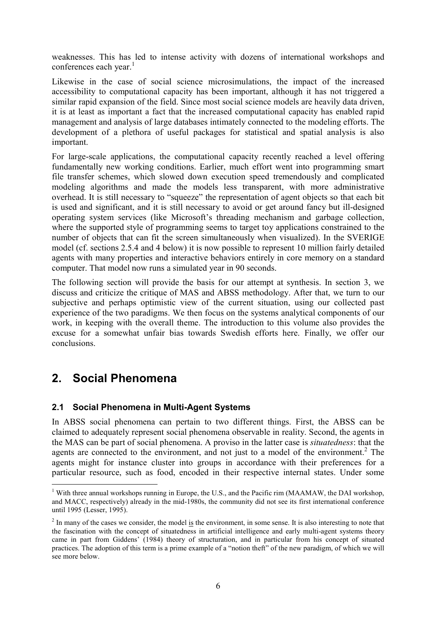weaknesses. This has led to intense activity with dozens of international workshops and conferences each year. $\frac{1}{1}$ 

Likewise in the case of social science microsimulations, the impact of the increased accessibility to computational capacity has been important, although it has not triggered a similar rapid expansion of the field. Since most social science models are heavily data driven, it is at least as important a fact that the increased computational capacity has enabled rapid management and analysis of large databases intimately connected to the modeling efforts. The development of a plethora of useful packages for statistical and spatial analysis is also important.

For large-scale applications, the computational capacity recently reached a level offering fundamentally new working conditions. Earlier, much effort went into programming smart file transfer schemes, which slowed down execution speed tremendously and complicated modeling algorithms and made the models less transparent, with more administrative overhead. It is still necessary to "squeeze" the representation of agent objects so that each bit is used and significant, and it is still necessary to avoid or get around fancy but ill-designed operating system services (like Microsoft's threading mechanism and garbage collection, where the supported style of programming seems to target toy applications constrained to the number of objects that can fit the screen simultaneously when visualized). In the SVERIGE model (cf. sections 2.5.4 and 4 below) it is now possible to represent 10 million fairly detailed agents with many properties and interactive behaviors entirely in core memory on a standard computer. That model now runs a simulated year in 90 seconds.

The following section will provide the basis for our attempt at synthesis. In section 3, we discuss and criticize the critique of MAS and ABSS methodology. After that, we turn to our subjective and perhaps optimistic view of the current situation, using our collected past experience of the two paradigms. We then focus on the systems analytical components of our work, in keeping with the overall theme. The introduction to this volume also provides the excuse for a somewhat unfair bias towards Swedish efforts here. Finally, we offer our conclusions.

# **2. Social Phenomena**

 $\overline{\phantom{a}}$ 

#### **2.1 Social Phenomena in Multi-Agent Systems**

In ABSS social phenomena can pertain to two different things. First, the ABSS can be claimed to adequately represent social phenomena observable in reality. Second, the agents in the MAS can be part of social phenomena. A proviso in the latter case is *situatedness*: that the agents are connected to the environment, and not just to a model of the environment.<sup>2</sup> The agents might for instance cluster into groups in accordance with their preferences for a particular resource, such as food, encoded in their respective internal states. Under some

<sup>&</sup>lt;sup>1</sup> With three annual workshops running in Europe, the U.S., and the Pacific rim (MAAMAW, the DAI workshop, and MACC, respectively) already in the mid-1980s, the community did not see its first international conference until 1995 (Lesser, 1995).

 $2^{2}$  In many of the cases we consider, the model is the environment, in some sense. It is also interesting to note that the fascination with the concept of situatedness in artificial intelligence and early multi-agent systems theory came in part from Giddens' (1984) theory of structuration, and in particular from his concept of situated practices. The adoption of this term is a prime example of a "notion theft" of the new paradigm, of which we will see more below.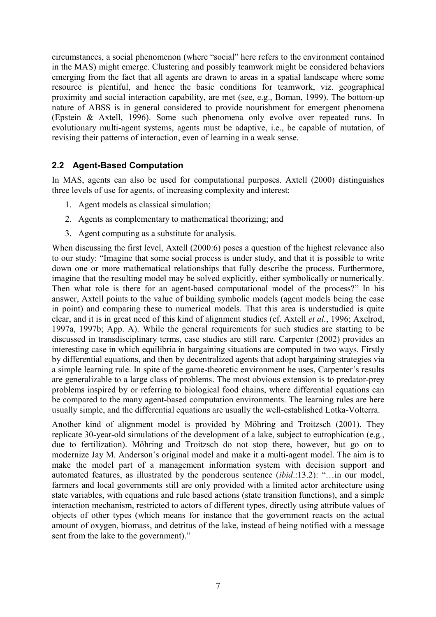circumstances, a social phenomenon (where "social" here refers to the environment contained in the MAS) might emerge. Clustering and possibly teamwork might be considered behaviors emerging from the fact that all agents are drawn to areas in a spatial landscape where some resource is plentiful, and hence the basic conditions for teamwork, viz. geographical proximity and social interaction capability, are met (see, e.g., Boman, 1999). The bottom-up nature of ABSS is in general considered to provide nourishment for emergent phenomena (Epstein & Axtell, 1996). Some such phenomena only evolve over repeated runs. In evolutionary multi-agent systems, agents must be adaptive, i.e., be capable of mutation, of revising their patterns of interaction, even of learning in a weak sense.

#### **2.2 Agent-Based Computation**

In MAS, agents can also be used for computational purposes. Axtell (2000) distinguishes three levels of use for agents, of increasing complexity and interest:

- 1. Agent models as classical simulation;
- 2. Agents as complementary to mathematical theorizing; and
- 3. Agent computing as a substitute for analysis.

When discussing the first level, Axtell (2000:6) poses a question of the highest relevance also to our study: "Imagine that some social process is under study, and that it is possible to write down one or more mathematical relationships that fully describe the process. Furthermore, imagine that the resulting model may be solved explicitly, either symbolically or numerically. Then what role is there for an agent-based computational model of the process?" In his answer, Axtell points to the value of building symbolic models (agent models being the case in point) and comparing these to numerical models. That this area is understudied is quite clear, and it is in great need of this kind of alignment studies (cf. Axtell *et al.*, 1996; Axelrod, 1997a, 1997b; App. A). While the general requirements for such studies are starting to be discussed in transdisciplinary terms, case studies are still rare. Carpenter (2002) provides an interesting case in which equilibria in bargaining situations are computed in two ways. Firstly by differential equations, and then by decentralized agents that adopt bargaining strategies via a simple learning rule. In spite of the game-theoretic environment he uses, Carpenter's results are generalizable to a large class of problems. The most obvious extension is to predator-prey problems inspired by or referring to biological food chains, where differential equations can be compared to the many agent-based computation environments. The learning rules are here usually simple, and the differential equations are usually the well-established Lotka-Volterra.

Another kind of alignment model is provided by Möhring and Troitzsch (2001). They replicate 30-year-old simulations of the development of a lake, subject to eutrophication (e.g., due to fertilization). Möhring and Troitzsch do not stop there, however, but go on to modernize Jay M. Anderson's original model and make it a multi-agent model. The aim is to make the model part of a management information system with decision support and automated features, as illustrated by the ponderous sentence (*ibid*.:13.2): "…in our model, farmers and local governments still are only provided with a limited actor architecture using state variables, with equations and rule based actions (state transition functions), and a simple interaction mechanism, restricted to actors of different types, directly using attribute values of objects of other types (which means for instance that the government reacts on the actual amount of oxygen, biomass, and detritus of the lake, instead of being notified with a message sent from the lake to the government)."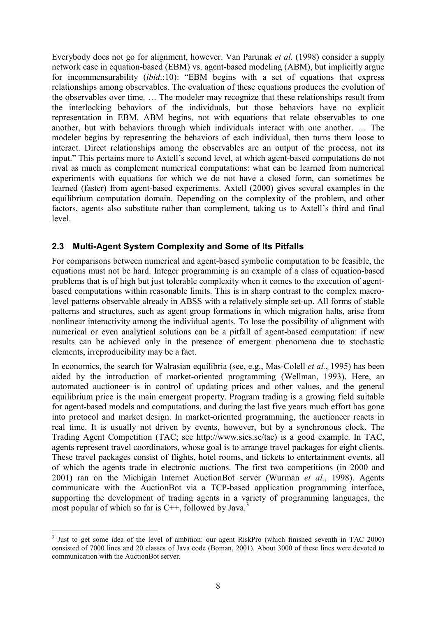Everybody does not go for alignment, however. Van Parunak *et al.* (1998) consider a supply network case in equation-based (EBM) vs. agent-based modeling (ABM), but implicitly argue for incommensurability (*ibid*.:10): "EBM begins with a set of equations that express relationships among observables. The evaluation of these equations produces the evolution of the observables over time. … The modeler may recognize that these relationships result from the interlocking behaviors of the individuals, but those behaviors have no explicit representation in EBM. ABM begins, not with equations that relate observables to one another, but with behaviors through which individuals interact with one another. … The modeler begins by representing the behaviors of each individual, then turns them loose to interact. Direct relationships among the observables are an output of the process, not its input." This pertains more to Axtell's second level, at which agent-based computations do not rival as much as complement numerical computations: what can be learned from numerical experiments with equations for which we do not have a closed form, can sometimes be learned (faster) from agent-based experiments. Axtell (2000) gives several examples in the equilibrium computation domain. Depending on the complexity of the problem, and other factors, agents also substitute rather than complement, taking us to Axtell's third and final level.

#### **2.3 Multi-Agent System Complexity and Some of Its Pitfalls**

For comparisons between numerical and agent-based symbolic computation to be feasible, the equations must not be hard. Integer programming is an example of a class of equation-based problems that is of high but just tolerable complexity when it comes to the execution of agentbased computations within reasonable limits. This is in sharp contrast to the complex macrolevel patterns observable already in ABSS with a relatively simple set-up. All forms of stable patterns and structures, such as agent group formations in which migration halts, arise from nonlinear interactivity among the individual agents. To lose the possibility of alignment with numerical or even analytical solutions can be a pitfall of agent-based computation: if new results can be achieved only in the presence of emergent phenomena due to stochastic elements, irreproducibility may be a fact.

In economics, the search for Walrasian equilibria (see, e.g., Mas-Colell *et al.*, 1995) has been aided by the introduction of market-oriented programming (Wellman, 1993). Here, an automated auctioneer is in control of updating prices and other values, and the general equilibrium price is the main emergent property. Program trading is a growing field suitable for agent-based models and computations, and during the last five years much effort has gone into protocol and market design. In market-oriented programming, the auctioneer reacts in real time. It is usually not driven by events, however, but by a synchronous clock. The Trading Agent Competition (TAC; see http://www.sics.se/tac) is a good example. In TAC, agents represent travel coordinators, whose goal is to arrange travel packages for eight clients. These travel packages consist of flights, hotel rooms, and tickets to entertainment events, all of which the agents trade in electronic auctions. The first two competitions (in 2000 and 2001) ran on the Michigan Internet AuctionBot server (Wurman *et al.*, 1998). Agents communicate with the AuctionBot via a TCP-based application programming interface, supporting the development of trading agents in a variety of programming languages, the most popular of which so far is  $C++$ , followed by Java.<sup>3</sup>

 $\overline{\phantom{a}}$ 

<sup>&</sup>lt;sup>3</sup> Just to get some idea of the level of ambition: our agent RiskPro (which finished seventh in TAC 2000) consisted of 7000 lines and 20 classes of Java code (Boman, 2001). About 3000 of these lines were devoted to communication with the AuctionBot server.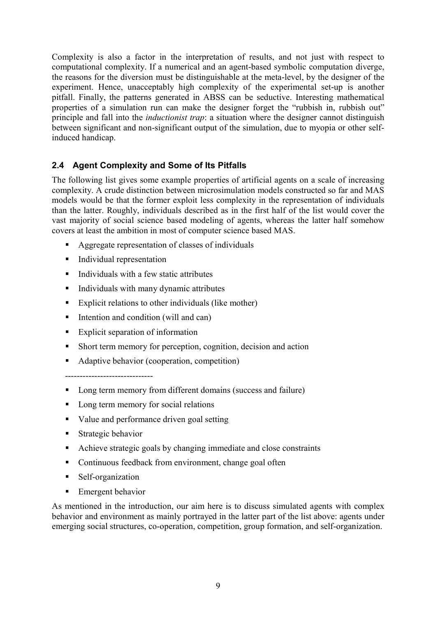Complexity is also a factor in the interpretation of results, and not just with respect to computational complexity. If a numerical and an agent-based symbolic computation diverge, the reasons for the diversion must be distinguishable at the meta-level, by the designer of the experiment. Hence, unacceptably high complexity of the experimental set-up is another pitfall. Finally, the patterns generated in ABSS can be seductive. Interesting mathematical properties of a simulation run can make the designer forget the "rubbish in, rubbish out" principle and fall into the *inductionist trap*: a situation where the designer cannot distinguish between significant and non-significant output of the simulation, due to myopia or other selfinduced handicap.

#### **2.4 Agent Complexity and Some of Its Pitfalls**

The following list gives some example properties of artificial agents on a scale of increasing complexity. A crude distinction between microsimulation models constructed so far and MAS models would be that the former exploit less complexity in the representation of individuals than the latter. Roughly, individuals described as in the first half of the list would cover the vast majority of social science based modeling of agents, whereas the latter half somehow covers at least the ambition in most of computer science based MAS.

- Aggregate representation of classes of individuals
- Individual representation
- Individuals with a few static attributes
- Individuals with many dynamic attributes
- Explicit relations to other individuals (like mother)
- Intention and condition (will and can)
- **Explicit separation of information**
- Short term memory for perception, cognition, decision and action
- Adaptive behavior (cooperation, competition)

------------------------------

- Long term memory from different domains (success and failure)
- Long term memory for social relations
- Value and performance driven goal setting
- **Strategic behavior**
- Achieve strategic goals by changing immediate and close constraints
- Continuous feedback from environment, change goal often
- Self-organization
- **Emergent behavior**

As mentioned in the introduction, our aim here is to discuss simulated agents with complex behavior and environment as mainly portrayed in the latter part of the list above: agents under emerging social structures, co-operation, competition, group formation, and self-organization.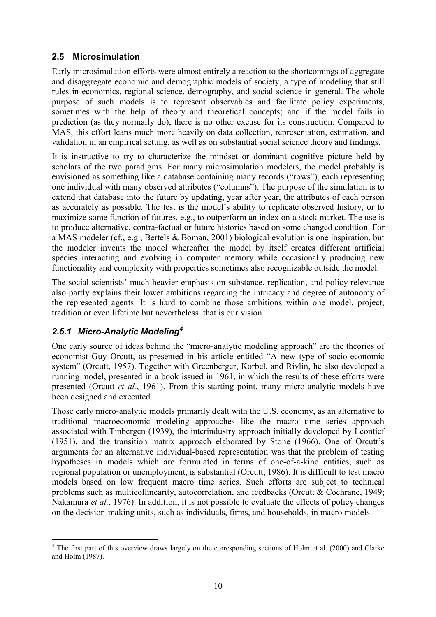#### **2.5 Microsimulation**

Early microsimulation efforts were almost entirely a reaction to the shortcomings of aggregate and disaggregate economic and demographic models of society, a type of modeling that still rules in economics, regional science, demography, and social science in general. The whole purpose of such models is to represent observables and facilitate policy experiments, sometimes with the help of theory and theoretical concepts; and if the model fails in prediction (as they normally do), there is no other excuse for its construction. Compared to MAS, this effort leans much more heavily on data collection, representation, estimation, and validation in an empirical setting, as well as on substantial social science theory and findings.

It is instructive to try to characterize the mindset or dominant cognitive picture held by scholars of the two paradigms. For many microsimulation modelers, the model probably is envisioned as something like a database containing many records ("rows"), each representing one individual with many observed attributes ("columns"). The purpose of the simulation is to extend that database into the future by updating, year after year, the attributes of each person as accurately as possible. The test is the model's ability to replicate observed history, or to maximize some function of futures, e.g., to outperform an index on a stock market. The use is to produce alternative, contra-factual or future histories based on some changed condition. For a MAS modeler (cf., e.g., Bertels & Boman, 2001) biological evolution is one inspiration, but the modeler invents the model whereafter the model by itself creates different artificial species interacting and evolving in computer memory while occasionally producing new functionality and complexity with properties sometimes also recognizable outside the model.

The social scientists' much heavier emphasis on substance, replication, and policy relevance also partly explains their lower ambitions regarding the intricacy and degree of autonomy of the represented agents. It is hard to combine those ambitions within one model, project, tradition or even lifetime but nevertheless that is our vision.

### *2.5.1 Micro-Analytic Modeling<sup>4</sup>*

One early source of ideas behind the "micro-analytic modeling approach" are the theories of economist Guy Orcutt, as presented in his article entitled "A new type of socio-economic system" (Orcutt, 1957). Together with Greenberger, Korbel, and Rivlin, he also developed a running model, presented in a book issued in 1961, in which the results of these efforts were presented (Orcutt *et al.*, 1961). From this starting point, many micro-analytic models have been designed and executed.

Those early micro-analytic models primarily dealt with the U.S. economy, as an alternative to traditional macroeconomic modeling approaches like the macro time series approach associated with Tinbergen (1939), the interindustry approach initially developed by Leontief (1951), and the transition matrix approach elaborated by Stone (1966). One of Orcutt's arguments for an alternative individual-based representation was that the problem of testing hypotheses in models which are formulated in terms of one-of-a-kind entities, such as regional population or unemployment, is substantial (Orcutt, 1986). It is difficult to test macro models based on low frequent macro time series. Such efforts are subject to technical problems such as multicollinearity, autocorrelation, and feedbacks (Orcutt & Cochrane, 1949; Nakamura *et al.*, 1976). In addition, it is not possible to evaluate the effects of policy changes on the decision-making units, such as individuals, firms, and households, in macro models.

 $\overline{a}$  $4$  The first part of this overview draws largely on the corresponding sections of Holm et al. (2000) and Clarke and Holm (1987).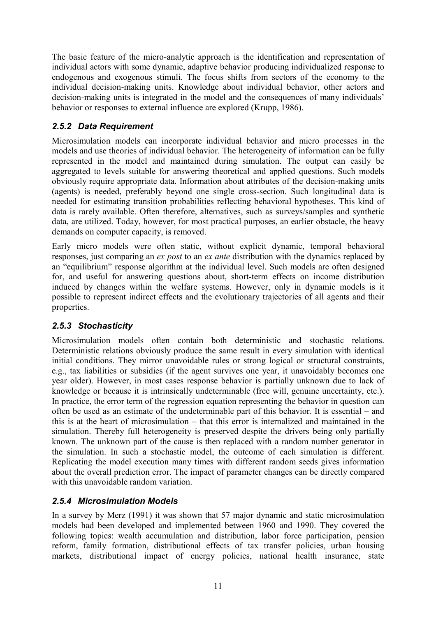The basic feature of the micro-analytic approach is the identification and representation of individual actors with some dynamic, adaptive behavior producing individualized response to endogenous and exogenous stimuli. The focus shifts from sectors of the economy to the individual decision-making units. Knowledge about individual behavior, other actors and decision-making units is integrated in the model and the consequences of many individuals' behavior or responses to external influence are explored (Krupp, 1986).

#### *2.5.2 Data Requirement*

Microsimulation models can incorporate individual behavior and micro processes in the models and use theories of individual behavior. The heterogeneity of information can be fully represented in the model and maintained during simulation. The output can easily be aggregated to levels suitable for answering theoretical and applied questions. Such models obviously require appropriate data. Information about attributes of the decision-making units (agents) is needed, preferably beyond one single cross-section. Such longitudinal data is needed for estimating transition probabilities reflecting behavioral hypotheses. This kind of data is rarely available. Often therefore, alternatives, such as surveys/samples and synthetic data, are utilized. Today, however, for most practical purposes, an earlier obstacle, the heavy demands on computer capacity, is removed.

Early micro models were often static, without explicit dynamic, temporal behavioral responses, just comparing an *ex post* to an *ex ante* distribution with the dynamics replaced by an "equilibrium" response algorithm at the individual level. Such models are often designed for, and useful for answering questions about, short-term effects on income distribution induced by changes within the welfare systems. However, only in dynamic models is it possible to represent indirect effects and the evolutionary trajectories of all agents and their properties.

### *2.5.3 Stochasticity*

Microsimulation models often contain both deterministic and stochastic relations. Deterministic relations obviously produce the same result in every simulation with identical initial conditions. They mirror unavoidable rules or strong logical or structural constraints, e.g., tax liabilities or subsidies (if the agent survives one year, it unavoidably becomes one year older). However, in most cases response behavior is partially unknown due to lack of knowledge or because it is intrinsically undeterminable (free will, genuine uncertainty, etc.). In practice, the error term of the regression equation representing the behavior in question can often be used as an estimate of the undeterminable part of this behavior. It is essential – and this is at the heart of microsimulation – that this error is internalized and maintained in the simulation. Thereby full heterogeneity is preserved despite the drivers being only partially known. The unknown part of the cause is then replaced with a random number generator in the simulation. In such a stochastic model, the outcome of each simulation is different. Replicating the model execution many times with different random seeds gives information about the overall prediction error. The impact of parameter changes can be directly compared with this unavoidable random variation.

#### *2.5.4 Microsimulation Models*

In a survey by Merz (1991) it was shown that 57 major dynamic and static microsimulation models had been developed and implemented between 1960 and 1990. They covered the following topics: wealth accumulation and distribution, labor force participation, pension reform, family formation, distributional effects of tax transfer policies, urban housing markets, distributional impact of energy policies, national health insurance, state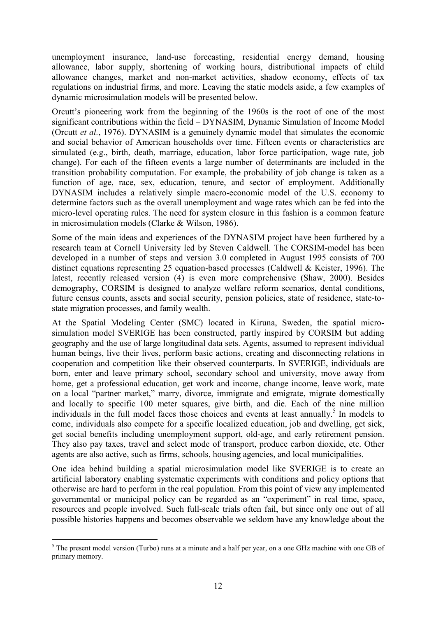unemployment insurance, land-use forecasting, residential energy demand, housing allowance, labor supply, shortening of working hours, distributional impacts of child allowance changes, market and non-market activities, shadow economy, effects of tax regulations on industrial firms, and more. Leaving the static models aside, a few examples of dynamic microsimulation models will be presented below.

Orcutt's pioneering work from the beginning of the 1960s is the root of one of the most significant contributions within the field – DYNASIM, Dynamic Simulation of Income Model (Orcutt *et al.*, 1976). DYNASIM is a genuinely dynamic model that simulates the economic and social behavior of American households over time. Fifteen events or characteristics are simulated (e.g., birth, death, marriage, education, labor force participation, wage rate, job change). For each of the fifteen events a large number of determinants are included in the transition probability computation. For example, the probability of job change is taken as a function of age, race, sex, education, tenure, and sector of employment. Additionally DYNASIM includes a relatively simple macro-economic model of the U.S. economy to determine factors such as the overall unemployment and wage rates which can be fed into the micro-level operating rules. The need for system closure in this fashion is a common feature in microsimulation models (Clarke & Wilson, 1986).

Some of the main ideas and experiences of the DYNASIM project have been furthered by a research team at Cornell University led by Steven Caldwell. The CORSIM-model has been developed in a number of steps and version 3.0 completed in August 1995 consists of 700 distinct equations representing 25 equation-based processes (Caldwell & Keister, 1996). The latest, recently released version (4) is even more comprehensive (Shaw, 2000). Besides demography, CORSIM is designed to analyze welfare reform scenarios, dental conditions, future census counts, assets and social security, pension policies, state of residence, state-tostate migration processes, and family wealth.

At the Spatial Modeling Center (SMC) located in Kiruna, Sweden, the spatial microsimulation model SVERIGE has been constructed, partly inspired by CORSIM but adding geography and the use of large longitudinal data sets. Agents, assumed to represent individual human beings, live their lives, perform basic actions, creating and disconnecting relations in cooperation and competition like their observed counterparts. In SVERIGE, individuals are born, enter and leave primary school, secondary school and university, move away from home, get a professional education, get work and income, change income, leave work, mate on a local "partner market," marry, divorce, immigrate and emigrate, migrate domestically and locally to specific 100 meter squares, give birth, and die. Each of the nine million individuals in the full model faces those choices and events at least annually.<sup>5</sup> In models to come, individuals also compete for a specific localized education, job and dwelling, get sick, get social benefits including unemployment support, old-age, and early retirement pension. They also pay taxes, travel and select mode of transport, produce carbon dioxide, etc. Other agents are also active, such as firms, schools, housing agencies, and local municipalities.

One idea behind building a spatial microsimulation model like SVERIGE is to create an artificial laboratory enabling systematic experiments with conditions and policy options that otherwise are hard to perform in the real population. From this point of view any implemented governmental or municipal policy can be regarded as an "experiment" in real time, space, resources and people involved. Such full-scale trials often fail, but since only one out of all possible histories happens and becomes observable we seldom have any knowledge about the

 $\overline{a}$ 

 $<sup>5</sup>$  The present model version (Turbo) runs at a minute and a half per year, on a one GHz machine with one GB of</sup> primary memory.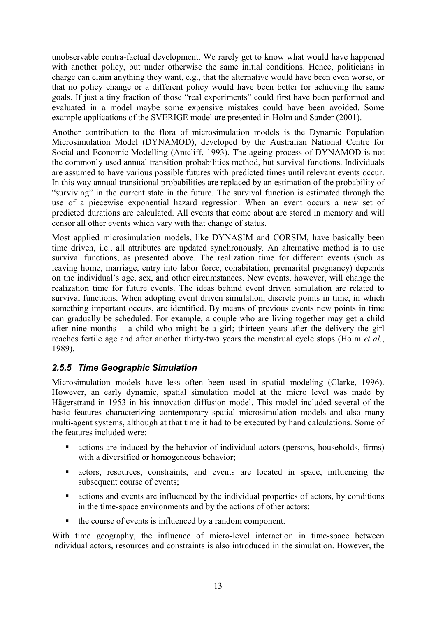unobservable contra-factual development. We rarely get to know what would have happened with another policy, but under otherwise the same initial conditions. Hence, politicians in charge can claim anything they want, e.g., that the alternative would have been even worse, or that no policy change or a different policy would have been better for achieving the same goals. If just a tiny fraction of those "real experiments" could first have been performed and evaluated in a model maybe some expensive mistakes could have been avoided. Some example applications of the SVERIGE model are presented in Holm and Sander (2001).

Another contribution to the flora of microsimulation models is the Dynamic Population Microsimulation Model (DYNAMOD), developed by the Australian National Centre for Social and Economic Modelling (Antcliff, 1993). The ageing process of DYNAMOD is not the commonly used annual transition probabilities method, but survival functions. Individuals are assumed to have various possible futures with predicted times until relevant events occur. In this way annual transitional probabilities are replaced by an estimation of the probability of "surviving" in the current state in the future. The survival function is estimated through the use of a piecewise exponential hazard regression. When an event occurs a new set of predicted durations are calculated. All events that come about are stored in memory and will censor all other events which vary with that change of status.

Most applied microsimulation models, like DYNASIM and CORSIM, have basically been time driven, i.e., all attributes are updated synchronously. An alternative method is to use survival functions, as presented above. The realization time for different events (such as leaving home, marriage, entry into labor force, cohabitation, premarital pregnancy) depends on the individual's age, sex, and other circumstances. New events, however, will change the realization time for future events. The ideas behind event driven simulation are related to survival functions. When adopting event driven simulation, discrete points in time, in which something important occurs, are identified. By means of previous events new points in time can gradually be scheduled. For example, a couple who are living together may get a child after nine months – a child who might be a girl; thirteen years after the delivery the girl reaches fertile age and after another thirty-two years the menstrual cycle stops (Holm *et al.*, 1989).

#### *2.5.5 Time Geographic Simulation*

Microsimulation models have less often been used in spatial modeling (Clarke, 1996). However, an early dynamic, spatial simulation model at the micro level was made by Hägerstrand in 1953 in his innovation diffusion model. This model included several of the basic features characterizing contemporary spatial microsimulation models and also many multi-agent systems, although at that time it had to be executed by hand calculations. Some of the features included were:

- actions are induced by the behavior of individual actors (persons, households, firms) with a diversified or homogeneous behavior;
- actors, resources, constraints, and events are located in space, influencing the subsequent course of events:
- actions and events are influenced by the individual properties of actors, by conditions in the time-space environments and by the actions of other actors;
- the course of events is influenced by a random component.

With time geography, the influence of micro-level interaction in time-space between individual actors, resources and constraints is also introduced in the simulation. However, the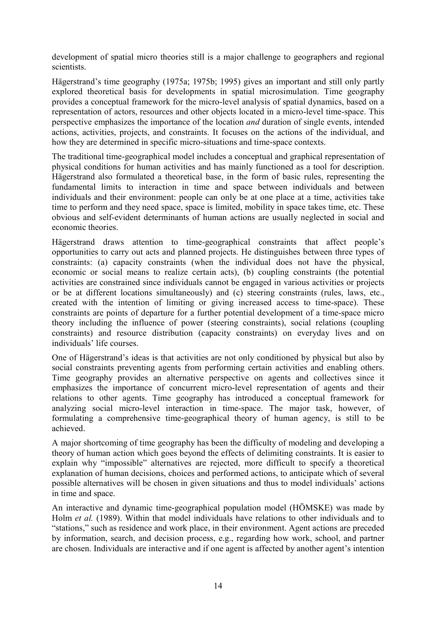development of spatial micro theories still is a major challenge to geographers and regional scientists.

Hägerstrand's time geography (1975a; 1975b; 1995) gives an important and still only partly explored theoretical basis for developments in spatial microsimulation. Time geography provides a conceptual framework for the micro-level analysis of spatial dynamics, based on a representation of actors, resources and other objects located in a micro-level time-space. This perspective emphasizes the importance of the location *and* duration of single events, intended actions, activities, projects, and constraints. It focuses on the actions of the individual, and how they are determined in specific micro-situations and time-space contexts.

The traditional time-geographical model includes a conceptual and graphical representation of physical conditions for human activities and has mainly functioned as a tool for description. Hägerstrand also formulated a theoretical base, in the form of basic rules, representing the fundamental limits to interaction in time and space between individuals and between individuals and their environment: people can only be at one place at a time, activities take time to perform and they need space, space is limited, mobility in space takes time, etc. These obvious and self-evident determinants of human actions are usually neglected in social and economic theories.

Hägerstrand draws attention to time-geographical constraints that affect people's opportunities to carry out acts and planned projects. He distinguishes between three types of constraints: (a) capacity constraints (when the individual does not have the physical, economic or social means to realize certain acts), (b) coupling constraints (the potential activities are constrained since individuals cannot be engaged in various activities or projects or be at different locations simultaneously) and (c) steering constraints (rules, laws, etc., created with the intention of limiting or giving increased access to time-space). These constraints are points of departure for a further potential development of a time-space micro theory including the influence of power (steering constraints), social relations (coupling constraints) and resource distribution (capacity constraints) on everyday lives and on individuals' life courses.

One of Hägerstrand's ideas is that activities are not only conditioned by physical but also by social constraints preventing agents from performing certain activities and enabling others. Time geography provides an alternative perspective on agents and collectives since it emphasizes the importance of concurrent micro-level representation of agents and their relations to other agents. Time geography has introduced a conceptual framework for analyzing social micro-level interaction in time-space. The major task, however, of formulating a comprehensive time-geographical theory of human agency, is still to be achieved.

A major shortcoming of time geography has been the difficulty of modeling and developing a theory of human action which goes beyond the effects of delimiting constraints. It is easier to explain why "impossible" alternatives are rejected, more difficult to specify a theoretical explanation of human decisions, choices and performed actions, to anticipate which of several possible alternatives will be chosen in given situations and thus to model individuals' actions in time and space.

An interactive and dynamic time-geographical population model (HÖMSKE) was made by Holm *et al.* (1989). Within that model individuals have relations to other individuals and to "stations," such as residence and work place, in their environment. Agent actions are preceded by information, search, and decision process, e.g., regarding how work, school, and partner are chosen. Individuals are interactive and if one agent is affected by another agent's intention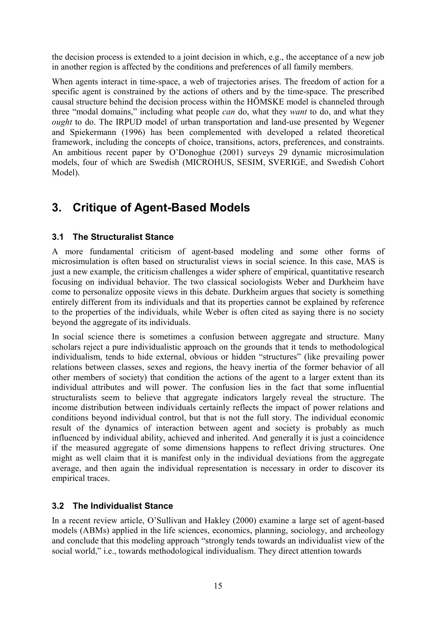the decision process is extended to a joint decision in which, e.g., the acceptance of a new job in another region is affected by the conditions and preferences of all family members.

When agents interact in time-space, a web of trajectories arises. The freedom of action for a specific agent is constrained by the actions of others and by the time-space. The prescribed causal structure behind the decision process within the HÖMSKE model is channeled through three "modal domains," including what people *can* do, what they *want* to do, and what they *ought* to do. The IRPUD model of urban transportation and land-use presented by Wegener and Spiekermann (1996) has been complemented with developed a related theoretical framework, including the concepts of choice, transitions, actors, preferences, and constraints. An ambitious recent paper by O'Donoghue (2001) surveys 29 dynamic microsimulation models, four of which are Swedish (MICROHUS, SESIM, SVERIGE, and Swedish Cohort Model).

# **3. Critique of Agent-Based Models**

#### **3.1 The Structuralist Stance**

A more fundamental criticism of agent-based modeling and some other forms of microsimulation is often based on structuralist views in social science. In this case, MAS is just a new example, the criticism challenges a wider sphere of empirical, quantitative research focusing on individual behavior. The two classical sociologists Weber and Durkheim have come to personalize opposite views in this debate. Durkheim argues that society is something entirely different from its individuals and that its properties cannot be explained by reference to the properties of the individuals, while Weber is often cited as saying there is no society beyond the aggregate of its individuals.

In social science there is sometimes a confusion between aggregate and structure. Many scholars reject a pure individualistic approach on the grounds that it tends to methodological individualism, tends to hide external, obvious or hidden "structures" (like prevailing power relations between classes, sexes and regions, the heavy inertia of the former behavior of all other members of society) that condition the actions of the agent to a larger extent than its individual attributes and will power. The confusion lies in the fact that some influential structuralists seem to believe that aggregate indicators largely reveal the structure. The income distribution between individuals certainly reflects the impact of power relations and conditions beyond individual control, but that is not the full story. The individual economic result of the dynamics of interaction between agent and society is probably as much influenced by individual ability, achieved and inherited. And generally it is just a coincidence if the measured aggregate of some dimensions happens to reflect driving structures. One might as well claim that it is manifest only in the individual deviations from the aggregate average, and then again the individual representation is necessary in order to discover its empirical traces.

### **3.2 The Individualist Stance**

In a recent review article, O'Sullivan and Hakley (2000) examine a large set of agent-based models (ABMs) applied in the life sciences, economics, planning, sociology, and archeology and conclude that this modeling approach "strongly tends towards an individualist view of the social world," i.e., towards methodological individualism. They direct attention towards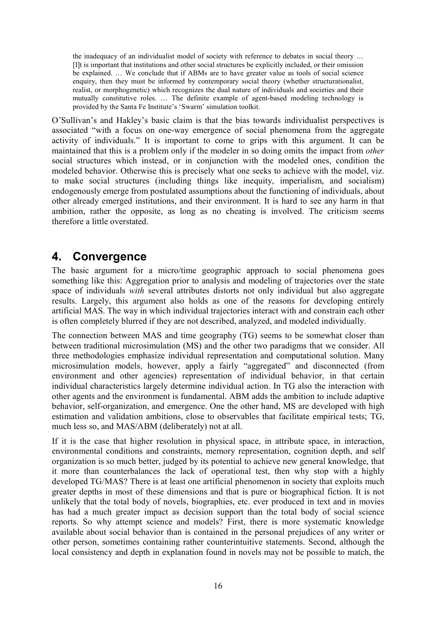the inadequacy of an individualist model of society with reference to debates in social theory … [I]t is important that institutions and other social structures be explicitly included, or their omission be explained. ... We conclude that if ABMs are to have greater value as tools of social science enquiry, then they must be informed by contemporary social theory (whether structurationalist, realist, or morphogenetic) which recognizes the dual nature of individuals and societies and their mutually constitutive roles. … The definite example of agent-based modeling technology is provided by the Santa Fe Institute's 'Swarm' simulation toolkit.

O'Sullivan's and Hakley's basic claim is that the bias towards individualist perspectives is associated "with a focus on one-way emergence of social phenomena from the aggregate activity of individuals." It is important to come to grips with this argument. It can be maintained that this is a problem only if the modeler in so doing omits the impact from *other* social structures which instead, or in conjunction with the modeled ones, condition the modeled behavior. Otherwise this is precisely what one seeks to achieve with the model, viz. to make social structures (including things like inequity, imperialism, and socialism) endogenously emerge from postulated assumptions about the functioning of individuals, about other already emerged institutions, and their environment. It is hard to see any harm in that ambition, rather the opposite, as long as no cheating is involved. The criticism seems therefore a little overstated.

## **4. Convergence**

The basic argument for a micro/time geographic approach to social phenomena goes something like this: Aggregation prior to analysis and modeling of trajectories over the state space of individuals *with* several attributes distorts not only individual but also aggregate results. Largely, this argument also holds as one of the reasons for developing entirely artificial MAS. The way in which individual trajectories interact with and constrain each other is often completely blurred if they are not described, analyzed, and modeled individually.

The connection between MAS and time geography (TG) seems to be somewhat closer than between traditional microsimulation (MS) and the other two paradigms that we consider. All three methodologies emphasize individual representation and computational solution. Many microsimulation models, however, apply a fairly "aggregated" and disconnected (from environment and other agencies) representation of individual behavior, in that certain individual characteristics largely determine individual action. In TG also the interaction with other agents and the environment is fundamental. ABM adds the ambition to include adaptive behavior, self-organization, and emergence. One the other hand, MS are developed with high estimation and validation ambitions, close to observables that facilitate empirical tests; TG, much less so, and MAS/ABM (deliberately) not at all.

If it is the case that higher resolution in physical space, in attribute space, in interaction, environmental conditions and constraints, memory representation, cognition depth, and self organization is so much better, judged by its potential to achieve new general knowledge, that it more than counterbalances the lack of operational test, then why stop with a highly developed TG/MAS? There is at least one artificial phenomenon in society that exploits much greater depths in most of these dimensions and that is pure or biographical fiction. It is not unlikely that the total body of novels, biographies, etc. ever produced in text and in movies has had a much greater impact as decision support than the total body of social science reports. So why attempt science and models? First, there is more systematic knowledge available about social behavior than is contained in the personal prejudices of any writer or other person, sometimes containing rather counterintuitive statements. Second, although the local consistency and depth in explanation found in novels may not be possible to match, the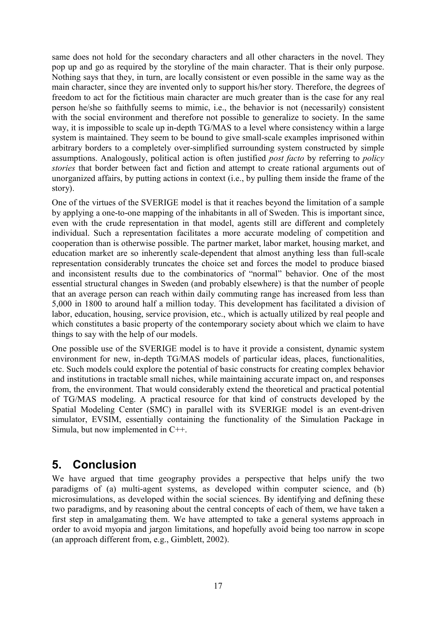same does not hold for the secondary characters and all other characters in the novel. They pop up and go as required by the storyline of the main character. That is their only purpose. Nothing says that they, in turn, are locally consistent or even possible in the same way as the main character, since they are invented only to support his/her story. Therefore, the degrees of freedom to act for the fictitious main character are much greater than is the case for any real person he/she so faithfully seems to mimic, i.e., the behavior is not (necessarily) consistent with the social environment and therefore not possible to generalize to society. In the same way, it is impossible to scale up in-depth TG/MAS to a level where consistency within a large system is maintained. They seem to be bound to give small-scale examples imprisoned within arbitrary borders to a completely over-simplified surrounding system constructed by simple assumptions. Analogously, political action is often justified *post facto* by referring to *policy stories* that border between fact and fiction and attempt to create rational arguments out of unorganized affairs, by putting actions in context (i.e., by pulling them inside the frame of the story).

One of the virtues of the SVERIGE model is that it reaches beyond the limitation of a sample by applying a one-to-one mapping of the inhabitants in all of Sweden. This is important since, even with the crude representation in that model, agents still are different and completely individual. Such a representation facilitates a more accurate modeling of competition and cooperation than is otherwise possible. The partner market, labor market, housing market, and education market are so inherently scale-dependent that almost anything less than full-scale representation considerably truncates the choice set and forces the model to produce biased and inconsistent results due to the combinatorics of "normal" behavior. One of the most essential structural changes in Sweden (and probably elsewhere) is that the number of people that an average person can reach within daily commuting range has increased from less than 5,000 in 1800 to around half a million today. This development has facilitated a division of labor, education, housing, service provision, etc., which is actually utilized by real people and which constitutes a basic property of the contemporary society about which we claim to have things to say with the help of our models.

One possible use of the SVERIGE model is to have it provide a consistent, dynamic system environment for new, in-depth TG/MAS models of particular ideas, places, functionalities, etc. Such models could explore the potential of basic constructs for creating complex behavior and institutions in tractable small niches, while maintaining accurate impact on, and responses from, the environment. That would considerably extend the theoretical and practical potential of TG/MAS modeling. A practical resource for that kind of constructs developed by the Spatial Modeling Center (SMC) in parallel with its SVERIGE model is an event-driven simulator, EVSIM, essentially containing the functionality of the Simulation Package in Simula, but now implemented in C++.

## **5. Conclusion**

We have argued that time geography provides a perspective that helps unify the two paradigms of (a) multi-agent systems, as developed within computer science, and (b) microsimulations, as developed within the social sciences. By identifying and defining these two paradigms, and by reasoning about the central concepts of each of them, we have taken a first step in amalgamating them. We have attempted to take a general systems approach in order to avoid myopia and jargon limitations, and hopefully avoid being too narrow in scope (an approach different from, e.g., Gimblett, 2002).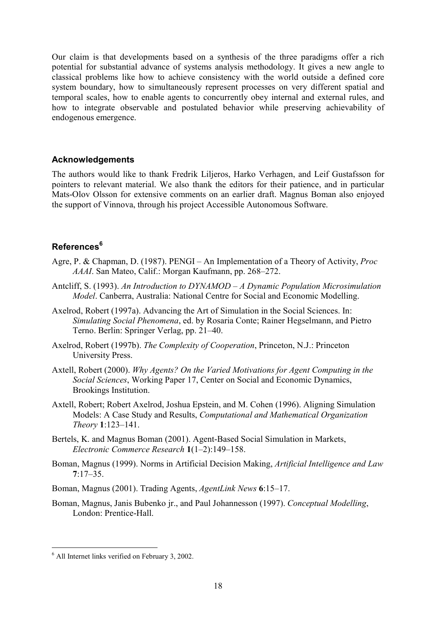Our claim is that developments based on a synthesis of the three paradigms offer a rich potential for substantial advance of systems analysis methodology. It gives a new angle to classical problems like how to achieve consistency with the world outside a defined core system boundary, how to simultaneously represent processes on very different spatial and temporal scales, how to enable agents to concurrently obey internal and external rules, and how to integrate observable and postulated behavior while preserving achievability of endogenous emergence.

#### **Acknowledgements**

The authors would like to thank Fredrik Liljeros, Harko Verhagen, and Leif Gustafsson for pointers to relevant material. We also thank the editors for their patience, and in particular Mats-Olov Olsson for extensive comments on an earlier draft. Magnus Boman also enjoyed the support of Vinnova, through his project Accessible Autonomous Software.

#### **References<sup>6</sup>**

- Agre, P. & Chapman, D. (1987). PENGI An Implementation of a Theory of Activity, *Proc AAAI*. San Mateo, Calif.: Morgan Kaufmann, pp. 268–272.
- Antcliff, S. (1993). *An Introduction to DYNAMOD A Dynamic Population Microsimulation Model*. Canberra, Australia: National Centre for Social and Economic Modelling.
- Axelrod, Robert (1997a). Advancing the Art of Simulation in the Social Sciences. In: *Simulating Social Phenomena*, ed. by Rosaria Conte; Rainer Hegselmann, and Pietro Terno. Berlin: Springer Verlag, pp. 21–40.
- Axelrod, Robert (1997b). *The Complexity of Cooperation*, Princeton, N.J.: Princeton University Press.
- Axtell, Robert (2000). *Why Agents? On the Varied Motivations for Agent Computing in the Social Sciences*, Working Paper 17, Center on Social and Economic Dynamics, Brookings Institution.
- Axtell, Robert; Robert Axelrod, Joshua Epstein, and M. Cohen (1996). Aligning Simulation Models: A Case Study and Results, *Computational and Mathematical Organization Theory* **1**:123–141.
- Bertels, K. and Magnus Boman (2001). Agent-Based Social Simulation in Markets, *Electronic Commerce Research* **1**(1–2):149–158.
- Boman, Magnus (1999). Norms in Artificial Decision Making, *Artificial Intelligence and Law* **7**:17–35.
- Boman, Magnus (2001). Trading Agents, *AgentLink News* **6**:15–17.
- Boman, Magnus, Janis Bubenko jr., and Paul Johannesson (1997). *Conceptual Modelling*, London: Prentice-Hall.

 $\overline{\phantom{a}}$ 

<sup>6</sup> All Internet links verified on February 3, 2002.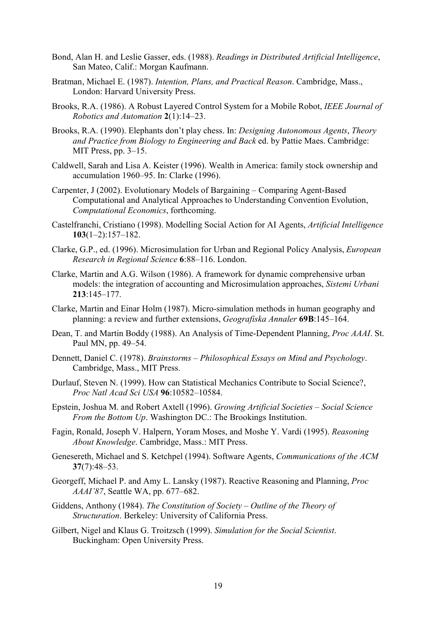- Bond, Alan H. and Leslie Gasser, eds. (1988). *Readings in Distributed Artificial Intelligence*, San Mateo, Calif.: Morgan Kaufmann.
- Bratman, Michael E. (1987). *Intention, Plans, and Practical Reason*. Cambridge, Mass., London: Harvard University Press.
- Brooks, R.A. (1986). A Robust Layered Control System for a Mobile Robot, *IEEE Journal of Robotics and Automation* **2**(1):14–23.
- Brooks, R.A. (1990). Elephants don't play chess. In: *Designing Autonomous Agents*, *Theory and Practice from Biology to Engineering and Back* ed. by Pattie Maes. Cambridge: MIT Press, pp. 3–15.
- Caldwell, Sarah and Lisa A. Keister (1996). Wealth in America: family stock ownership and accumulation 1960–95. In: Clarke (1996).
- Carpenter, J (2002). Evolutionary Models of Bargaining Comparing Agent-Based Computational and Analytical Approaches to Understanding Convention Evolution, *Computational Economics*, forthcoming.
- Castelfranchi, Cristiano (1998). Modelling Social Action for AI Agents, *Artificial Intelligence* **103**(1–2):157–182.
- Clarke, G.P., ed. (1996). Microsimulation for Urban and Regional Policy Analysis, *European Research in Regional Science* **6**:88–116. London.
- Clarke, Martin and A.G. Wilson (1986). A framework for dynamic comprehensive urban models: the integration of accounting and Microsimulation approaches, *Sistemi Urbani* **213**:145–177.
- Clarke, Martin and Einar Holm (1987). Micro-simulation methods in human geography and planning: a review and further extensions, *Geografiska Annaler* **69B**:145–164.
- Dean, T. and Martin Boddy (1988). An Analysis of Time-Dependent Planning, *Proc AAAI*. St. Paul MN, pp. 49–54.
- Dennett, Daniel C. (1978). *Brainstorms Philosophical Essays on Mind and Psychology*. Cambridge, Mass., MIT Press.
- Durlauf, Steven N. (1999). How can Statistical Mechanics Contribute to Social Science?, *Proc Natl Acad Sci USA* **96**:10582–10584.
- Epstein, Joshua M. and Robert Axtell (1996). *Growing Artificial Societies Social Science From the Bottom Up*. Washington DC.: The Brookings Institution.
- Fagin, Ronald, Joseph V. Halpern, Yoram Moses, and Moshe Y. Vardi (1995). *Reasoning About Knowledge*. Cambridge, Mass.: MIT Press.
- Genesereth, Michael and S. Ketchpel (1994). Software Agents, *Communications of the ACM* **37**(7):48–53.
- Georgeff, Michael P. and Amy L. Lansky (1987). Reactive Reasoning and Planning, *Proc AAAI'87*, Seattle WA, pp. 677–682.
- Giddens, Anthony (1984). *The Constitution of Society Outline of the Theory of Structuration*. Berkeley: University of California Press.
- Gilbert, Nigel and Klaus G. Troitzsch (1999). *Simulation for the Social Scientist*. Buckingham: Open University Press.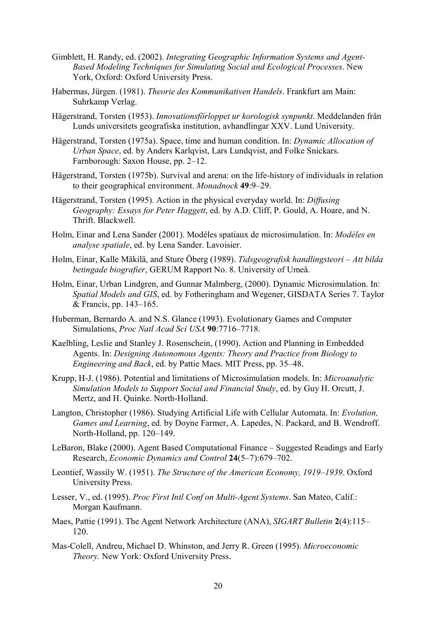- Gimblett, H. Randy, ed. (2002). *Integrating Geographic Information Systems and Agent-Based Modeling Techniques for Simulating Social and Ecological Processes*. New York, Oxford: Oxford University Press.
- Habermas, Jürgen. (1981). *Theorie des Kommunikativen Handels*. Frankfurt am Main: Suhrkamp Verlag.
- Hägerstrand, Torsten (1953). *Innovationsförloppet ur korologisk synpunkt*. Meddelanden från Lunds universitets geografiska institution, avhandlingar XXV. Lund University.
- Hägerstrand, Torsten (1975a). Space, time and human condition. In: *Dynamic Allocation of Urban Space*, ed. by Anders Karlqvist, Lars Lundqvist, and Folke Snickars. Farnborough: Saxon House, pp. 2–12.
- Hägerstrand, Torsten (1975b). Survival and arena: on the life-history of individuals in relation to their geographical environment. *Monadnock* **49**:9–29.
- Hägerstrand, Torsten (1995). Action in the physical everyday world. In: *Diffusing Geography: Essays for Peter Haggett*, ed. by A.D. Cliff, P. Gould, A. Hoare, and N. Thrift. Blackwell.
- Holm, Einar and Lena Sander (2001). Modèles spatiaux de microsimulation. In: *Modèles en analyse spatiale*, ed. by Lena Sander. Lavoisier.
- Holm, Einar, Kalle Mäkilä, and Sture Öberg (1989). *Tidsgeografisk handlingsteori Att bilda betingade biografier*, GERUM Rapport No. 8. University of Umeå.
- Holm, Einar, Urban Lindgren, and Gunnar Malmberg, (2000). Dynamic Microsimulation. In: *Spatial Models and GIS*, ed. by Fotheringham and Wegener, GISDATA Series 7. Taylor & Francis, pp. 143–165.
- Huberman, Bernardo A. and N.S. Glance (1993). Evolutionary Games and Computer Simulations, *Proc Natl Acad Sci USA* **90**:7716–7718.
- Kaelbling, Leslie and Stanley J. Rosenschein, (1990). Action and Planning in Embedded Agents. In: *Designing Autonomous Agents: Theory and Practice from Biology to Engineering and Back*, ed. by Pattie Maes. MIT Press, pp. 35–48.
- Krupp, H-J. (1986). Potential and limitations of Microsimulation models. In: *Microanalytic Simulation Models to Support Social and Financial Study*, ed. by Guy H. Orcutt, J. Mertz, and H. Quinke. North-Holland.
- Langton, Christopher (1986). Studying Artificial Life with Cellular Automata. In: *Evolution, Games and Learning*, ed. by Doyne Farmer, A. Lapedes, N. Packard, and B. Wendroff. North-Holland, pp. 120–149.
- LeBaron, Blake (2000). Agent Based Computational Finance Suggested Readings and Early Research, *Economic Dynamics and Control* **24**(5–7):679–702.
- Leontief, Wassily W. (1951). *The Structure of the American Economy, 1919–1939*. Oxford University Press.
- Lesser, V., ed. (1995). *Proc First Intl Conf on Multi-Agent Systems*. San Mateo, Calif.: Morgan Kaufmann.
- Maes, Pattie (1991). The Agent Network Architecture (ANA), *SIGART Bulletin* **2**(4):115– 120.
- Mas-Colell, Andreu, Michael D. Whinston, and Jerry R. Green (1995). *Microeconomic Theory.* New York: Oxford University Press.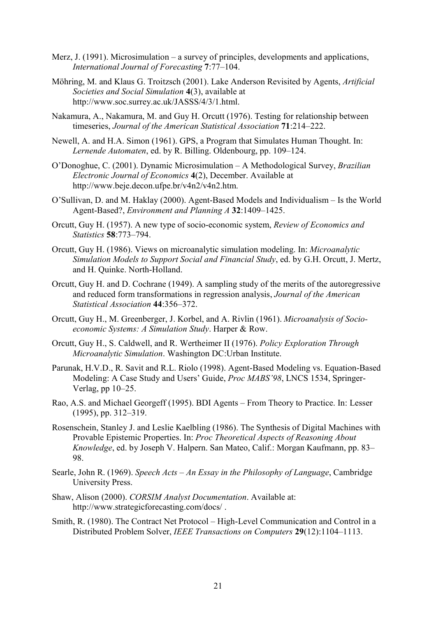- Merz, J. (1991). Microsimulation a survey of principles, developments and applications, *International Journal of Forecasting* **7**:77–104.
- Möhring, M. and Klaus G. Troitzsch (2001). Lake Anderson Revisited by Agents, *Artificial Societies and Social Simulation* **4**(3), available at http://www.soc.surrey.ac.uk/JASSS/4/3/1.html.
- Nakamura, A., Nakamura, M. and Guy H. Orcutt (1976). Testing for relationship between timeseries, *Journal of the American Statistical Association* **71**:214–222.
- Newell, A. and H.A. Simon (1961). GPS, a Program that Simulates Human Thought. In: *Lernende Automaten*, ed. by R. Billing. Oldenbourg, pp. 109–124.
- O'Donoghue, C. (2001). Dynamic Microsimulation A Methodological Survey, *Brazilian Electronic Journal of Economics* **4**(2), December. Available at http://www.beje.decon.ufpe.br/v4n2/v4n2.htm.
- O'Sullivan, D. and M. Haklay (2000). Agent-Based Models and Individualism Is the World Agent-Based?, *Environment and Planning A* **32**:1409–1425.
- Orcutt, Guy H. (1957). A new type of socio-economic system, *Review of Economics and Statistics* **58**:773–794.
- Orcutt, Guy H. (1986). Views on microanalytic simulation modeling. In: *Microanalytic Simulation Models to Support Social and Financial Study*, ed. by G.H. Orcutt, J. Mertz, and H. Quinke. North-Holland.
- Orcutt, Guy H. and D. Cochrane (1949). A sampling study of the merits of the autoregressive and reduced form transformations in regression analysis, *Journal of the American Statistical Association* **44**:356–372.
- Orcutt, Guy H., M. Greenberger, J. Korbel, and A. Rivlin (1961). *Microanalysis of Socioeconomic Systems: A Simulation Study*. Harper & Row.
- Orcutt, Guy H., S. Caldwell, and R. Wertheimer II (1976). *Policy Exploration Through Microanalytic Simulation*. Washington DC:Urban Institute.
- Parunak, H.V.D., R. Savit and R.L. Riolo (1998). Agent-Based Modeling vs. Equation-Based Modeling: A Case Study and Users' Guide, *Proc MABS'98*, LNCS 1534, Springer-Verlag, pp 10–25.
- Rao, A.S. and Michael Georgeff (1995). BDI Agents From Theory to Practice. In: Lesser (1995), pp. 312–319.
- Rosenschein, Stanley J. and Leslie Kaelbling (1986). The Synthesis of Digital Machines with Provable Epistemic Properties. In: *Proc Theoretical Aspects of Reasoning About Knowledge*, ed. by Joseph V. Halpern. San Mateo, Calif.: Morgan Kaufmann, pp. 83– 98.
- Searle, John R. (1969). *Speech Acts An Essay in the Philosophy of Language*, Cambridge University Press.
- Shaw, Alison (2000). *CORSIM Analyst Documentation*. Available at: http://www.strategicforecasting.com/docs/ .
- Smith, R. (1980). The Contract Net Protocol High-Level Communication and Control in a Distributed Problem Solver, *IEEE Transactions on Computers* **29**(12):1104–1113.